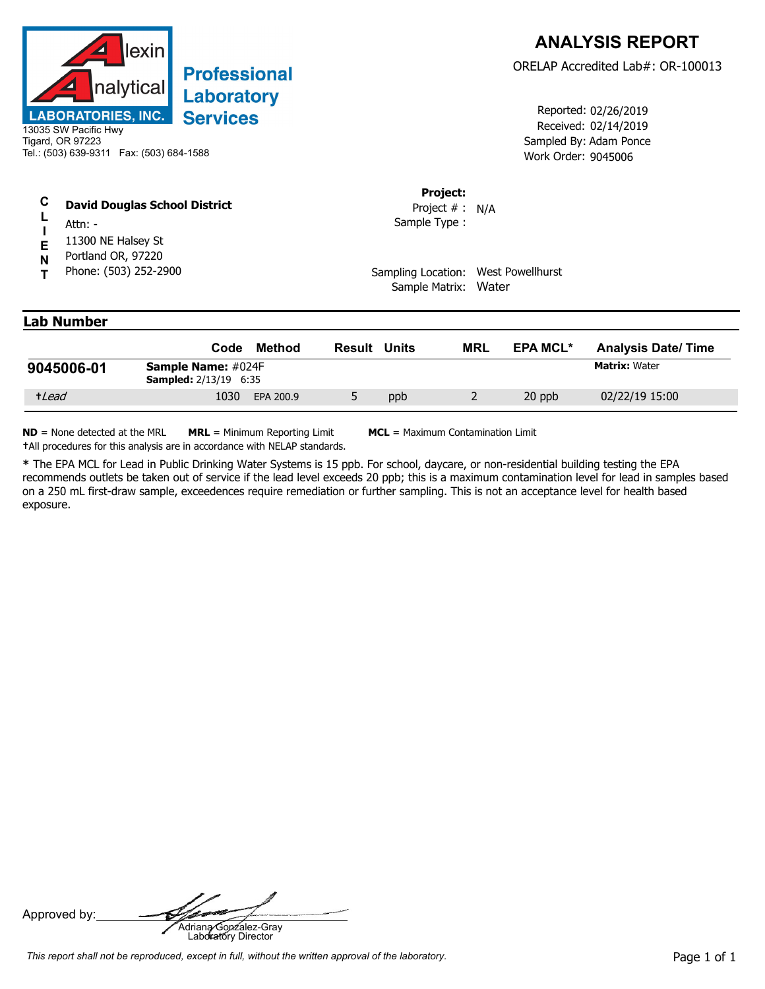

| <b>ANALYSIS REPORT</b>            |
|-----------------------------------|
| ORELAP Accredited Lab#: OR-100013 |

Received: 02/14/2019 Work Order: 9045006 Reported: 02/26/2019 Sampled By: Adam Ponce

## **C L David Douglas School District**

- **I** Attn: -
- **E** 11300 NE Halsey St
- Portland OR, 97220
- **N T** Phone: (503) 252-2900

## **Project:** Sample Type : Project # : N/A

Sampling Location: West Powellhurst Sample Matrix: Water

## **Lab Number**

|            | Code                                                      | Method    | Result | Units | MRL | <b>EPA MCL*</b>      | <b>Analysis Date/Time</b> |
|------------|-----------------------------------------------------------|-----------|--------|-------|-----|----------------------|---------------------------|
| 9045006-01 | <b>Sample Name: #024F</b><br><b>Sampled:</b> 2/13/19 6:35 |           |        |       |     | <b>Matrix: Water</b> |                           |
| +Lead      | 1030                                                      | EPA 200.9 |        | ppb   |     | 20 ppb               | 02/22/19 15:00            |

**ND** = None detected at the MRL **MRL** = Minimum Reporting Limit **MCL** = Maximum Contamination Limit **†**All procedures for this analysis are in accordance with NELAP standards.

**\*** The EPA MCL for Lead in Public Drinking Water Systems is 15 ppb. For school, daycare, or non-residential building testing the EPA recommends outlets be taken out of service if the lead level exceeds 20 ppb; this is a maximum contamination level for lead in samples based on a 250 mL first-draw sample, exceedences require remediation or further sampling. This is not an acceptance level for health based exposure.

Approved by: **Adriana Gonzalez-Gray**<br>Adriana Gonzalez-Gray<br>Laboratory Director